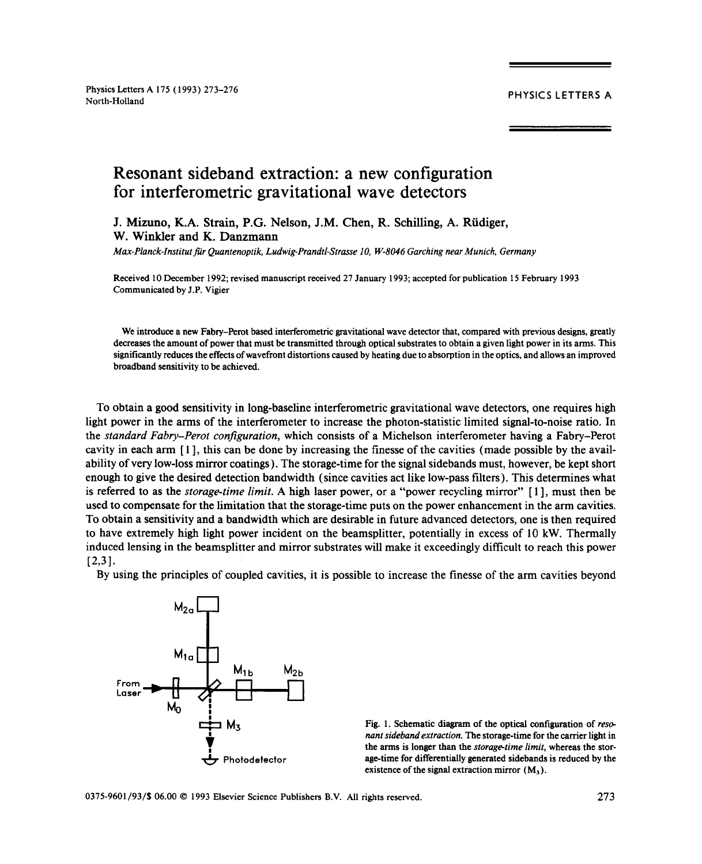# Resonant sideband extraction: a new configuration for interferometric gravitational wave detectors

J. Mizuno, K.A. Strain, P.G. Nelson, J.M. Chen, R. Schilling, A. Rudiger, W. Winkler and K. Danzmann

*Max-Planck-Institutfür Quantenoptik, Ludwig-Prandtl-Strasse10, W-8046 Garching near Munich, Germany*

Received 10 December 1992; revised manuscript received 27 January 1993; accepted for publication 15 February 1993 Communicated by J.P. Vigier

We introduce a new Fabry–Perot based interferometric gravitational wave detector that, compared with previous designs, greatly decreases the amount of power that must be transmitted through optical substrates to obtain a given light power in its arms. This significantly reduces the effects of wavefront distortions caused by heating due to absorption in the optics, and allows an improved broadband sensitivity to be achieved.

To obtain a good sensitivity in long-baseline interferometricgravitational wave detectors, one requires high light power in the arms of the interferometer to increase the photon-statistic limited signal-to-noise ratio. In the *standard Fabry—Perot configuration,* which consists of a Michelson interferometer having a Fabry—Perot cavity in each arm [1], this can be done by increasing the finesse of the cavities (made possible by the availability of very low-loss mirror coatings). The storage-time for the signal sidebands must, however, be kept short enough togive the desired detection bandwidth (since cavities act like low-pass filters). This determines what is referred to as the *storage-time limit.* A high laser power, or a "power recycling mirror" [1], must then be used to compensate for the limitation that the storage-time puts on the power enhancement in the arm cavities. To obtain a sensitivity and a bandwidth which are desirable in future advanced detectors, one is then required to have extremely high light power incident on the beamsplitter, potentially in excess of 10 kW. Thermally induced lensing in the beamsplitter and mirrorsubstrates will make it exceedingly difficult to reach this power  $[2,3]$ .

By using the principles of coupled cavities, it is possible to increase the finesse of the arm cavities beyond



Fig. 1. Schematic diagram of the optical configuration of *reso-*<br>nant sideband extraction. The storage-time for the carrier light in  $\dot{p}_{\rm A}$  is since the structure. The storage-time for the carrier of the carrier for the carrier for the carrier of  $\dot{p}_{\rm A}$  is the carrier of the carrier of the carrier of the carrier of the carrier of the carrier the arms is longer than the *storage-timelimit,* whereas the stor. Photodetector age-time for differentially generated sidebands is reduced by the existence of the signal extraction mirror  $(M_3)$ .

existence ofthe signal extractionmirror (M3).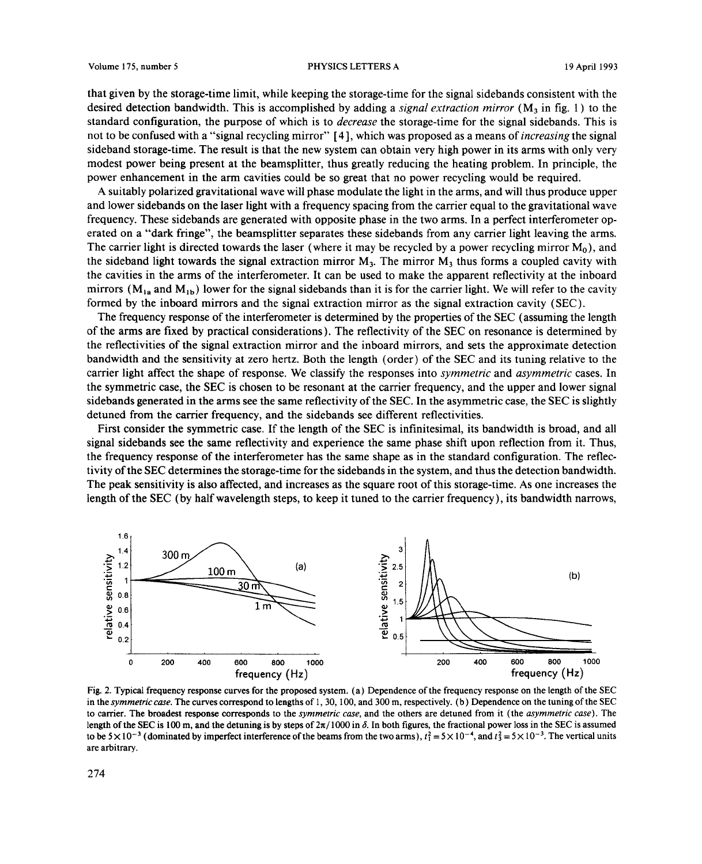that given by the storage-time limit, while keeping the storage-time for the signal sidebands consistent with the desired detection bandwidth. This is accomplished by adding <sup>a</sup> *signal extraction mirror* (M3 in fig. 1) to the standard configuration, the purpose of which is to *decrease* the storage-time for the signal sidebands. This is not to be confused with a "signal recycling mirror" [4], which was proposed as a means of *increasing* the signal sideband storage-time. The result is that the new system can obtain very high power in its arms with only very modest power being present at the beamsplitter, thus greatly reducing the heating problem. In principle, the power enhancement in the arm cavities could be so great that no power recycling would be required.<br>A suitably polarized gravitational wave will phase modulate the light in the arms, and will thus produce upper

A suitably polarized gravitational wave will phase modulate the lightin the arms, and will thus produce upper and lower sidebands on the laser light with a frequency spacing from the carrier equal to the gravitational wave<br>Convenient Theorie idebands are concerted with a process a bose in the two cares. In a part of interference t frequency. These sidebands are generated with opposite phase in the two arms. In a perfect interferometer operated on a "dark fringe", the beamsplitter separates these sidebands from any carrier light leaving the arms. The carrier light is directed towards the laser (where it may be recycled by a power recycling mirror  $M_0$ ), and the sideband light towards the signal extraction mirror  $M_3$ . The mirror  $M_3$  thus forms a coupled cavity with the cavities in the arms of the interferometer. It can be used to make the apparent reflectivity at the inbo the cavities in the arms of the interferometer. It can be used to make the apparent reflectivity at the inboard<br>mirrors (M cand M c) lower for the signal sidebands than it is for the carrier light. We will refer to the cov mirrors ( $M_{1a}$  and  $M_{1b}$ ) lower for the signal sidebands than it is for the carrier light. We will refer to the cavity formed by the inboard mirrors and the signal extraction mirror as the signal extraction cavity (SEC).

The frequency response of the interferometer is determined by the properties of the SEC (assuming the length of the arms are fixed by practical considerations). The reflectivity ofthe SEC on resonance is determined by the reflectivities of the signal extraction mirror and the inboard mirrors, and sets the approximate detection bandwidth and the sensitivity at zero hertz. Both the length (order) ofthe SEC and its tuning relative to the carrier light affect the shape of response. We classify the responses into *symmetric* and *asymmetric* cases. In the symmetric case, the SEC is chosen to be resonant at the carrier frequency, and the upper and lower signal sidebands generated in the arms see the same reflectivity of the SEC. In the asymmetric case, the SEC is slightly detuned from the carrier frequency, and the sidebands see different reflectivities.

First consider the symmetric case. If the length of the SEC is infinitesimal, its bandwidth is broad, and all signal sidebands see the same reflectivity and experience the same phase shift upon reflection from it. Thus, the frequency response ofthe interferometer has the same shape as in the standard configuration. The reflectivity of the SEC determines the storage-time for the sidebands in the system, and thus the detection bandwidth. The peak sensitivity is also affected, and increases as the square root ofthis storage-time. As one increases the length of the SEC (by half wavelength steps, to keep it tuned to the carrier frequency), its bandwidth narrows,



Fig. 2. Typical frequency response curves for the proposed system. (a) Dependence of the frequency response on the length of the SEC in the *symmetric case*. The curves correspond to lengths of 1, 30, 100, and 300 m, respectively. (b) Dependence on the tuning of the SEC to carrier. The broadest response corresponds to the *symmetric case*, and the other to carrier. The broadest response corresponds to the *symmetric case,* and the others are detuned from it (the *asymmetric case).* The length of the SEC is 100 m, and the detuning is by steps of  $2\pi/1000$  in  $\delta$ . In both figures, the fractional power loss in the SEC is assumed<br>to be  $5\times10^{-3}$  (dominated by imperfect interference of the beams from the to be  $5 \times 10^{-3}$  (dominated by imperfect interference of the beams from the two arms),  $t_1^2 = 5 \times 10^{-4}$ , and  $t_3^2 = 5 \times 10^{-3}$ . The vertical units are arbitrary.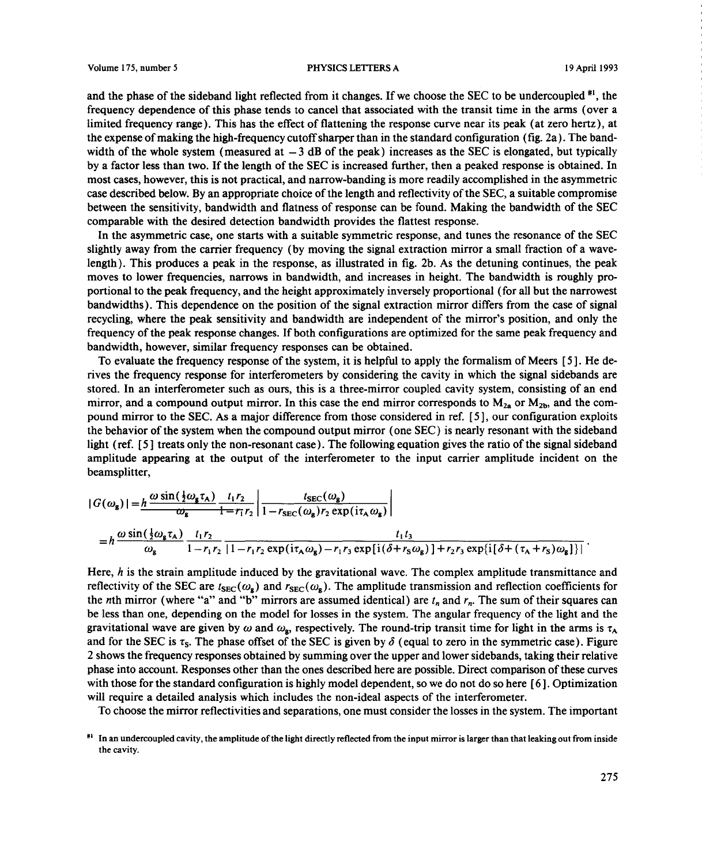and the phase of the sideband light reflected from it changes. If we choose the SEC to be undercoupled  $*1$ , the frequency dependence ofthis phase tends to cancel that associated with the transit time in the arms (over a limited frequency range). This has the effect of flattening the response curve near its peak (at zero hertz), at the expense of making the high-frequency cutoff sharper than in the standard configuration (fig. 2a). The bandwidth of the whole system (measured at  $-3$  dB of the peak) increases as the SEC is elongated, but typically by a factor less than two. If the length of the SEC is increased further, then a peaked response is obtained. In most cases, however,this is not practical, and narrow-banding is more readily accomplished inthe asymmetric case described below. By an appropriate choice of the length and reflectivity of the SEC, a suitable compromise between the sensitivity, bandwidth and flatness ofresponse can be found. Making the bandwidth ofthe SEC comparable with the desired detection bandwidth provides the flattest response.

In the asymmetric case, one starts with a suitable symmetric response, and tunes the resonance of the SEC slightly away from the carrier frequency (by moving the signal extraction mirror a small fraction of a wavelength). This produces a peak in the response, as illustrated in fig. 2b. As the detuning continues, the peak moves to lower frequencies, narrows in bandwidth, and increases in height. The bandwidth is roughly proportional to the peak frequency, and the height approximately inversely proportional (for all but the narrowest bandwidths). This dependence on the position of the signal extraction mirror differs from the case of signal recycling, where the peak sensitivity and bandwidth are independent of the mirror's position, and only the frequency of the peak response changes. If both configurations are optimized for the same peak frequency and bandwidth, however, similar frequency responses can be obtained.

To evaluate the frequency response of the system, it is helpful to apply the formalism of Meers [5]. He derives the frequency response for interferometers by considering the cavity in which the signal sidebands are stored. In an interferometer such as ours, this is a three-mirror coupled cavity system, consisting of an end mirror, and a compound output mirror. In this case the end mirror corresponds to  $M_{2a}$  or  $M_{2b}$ , and the compound mirror to the SEC. As a major difference from those considered in ref. [5], our configuration exploits the behavior of the system when the compound output mirror (one SEC) is nearly resonant with the sideband light (ref. [5] treats only the non-resonant case). The following equation gives the ratio of the signal sideband amplitude appearing at the output of the interferometer to the input carrier amplitude incident on the beamsplitter,

$$
|G(\omega_{g})| = h \frac{\omega \sin(\frac{1}{2}\omega_{g}\tau_{A})}{\omega_{g}} \frac{t_{1}r_{2}}{1 - r_{1}r_{2}} \left| \frac{t_{\text{SEC}}(\omega_{g})}{1 - r_{\text{SEC}}(\omega_{g})r_{2} \exp(i\tau_{A}\omega_{g})} \right|
$$
  
=  $h \frac{\omega \sin(\frac{1}{2}\omega_{g}\tau_{A})}{\omega_{g}} \frac{t_{1}r_{2}}{1 - r_{1}r_{2}} \frac{t_{1}t_{3}}{1 - r_{1}r_{2} \exp(i\tau_{A}\omega_{g}) - r_{1}r_{3} \exp[i(\delta + r_{S}\omega_{g})] + r_{2}r_{3} \exp[i(\delta + (\tau_{A} + r_{S})\omega_{g})]}.$ 

Here, *h* is the strain amplitude induced by the gravitational wave. The complex amplitude transmittance and reflectivity of the SEC are 1982 induced by the gravitational wave. The complex amplitude transmittance and<br> $t_{\text{min}}(u)$  and  $t_{\text{max}}(u)$ . The amplitude transmission and reflection coefficients for the *n*th mirror (where "a" and "b" mirrors are assumed identical) are  $t_n$  and  $r_n$ . The sum of their squares can be less than one, depending on the model for losses in the system. The angular frequency of the light and the gravitational wave are given by w and *w*  $\mathbf{g}_s$ , respectively. The round-trip transit time for light in the arms is  $\tau_A$ and for the SEC is  $\tau_s$ . The phase offset of the SEC is given by  $\delta$  (equal to zero in the symmetric case). Figure 2 shows the frequency responses obtained by summing over the upper and lower sidebands, taking their relative phase into account. Responses other than the ones described here are possible. Direct comparison ofthese curves with those for the standard configuration is highly model dependent, so we do not do so here  $[6]$ . Optimization will require a detailed analysis which includes the non-ideal aspects of the interferometer.

To choose the mirror reflectivities and separations, one must consider the losses in the system. The important

<sup>~&#</sup>x27; In an undercoupled cavity, the amplitude ofthe light directly reflectedfrom the input mirror is larger than that leakingout from inside the cavity.